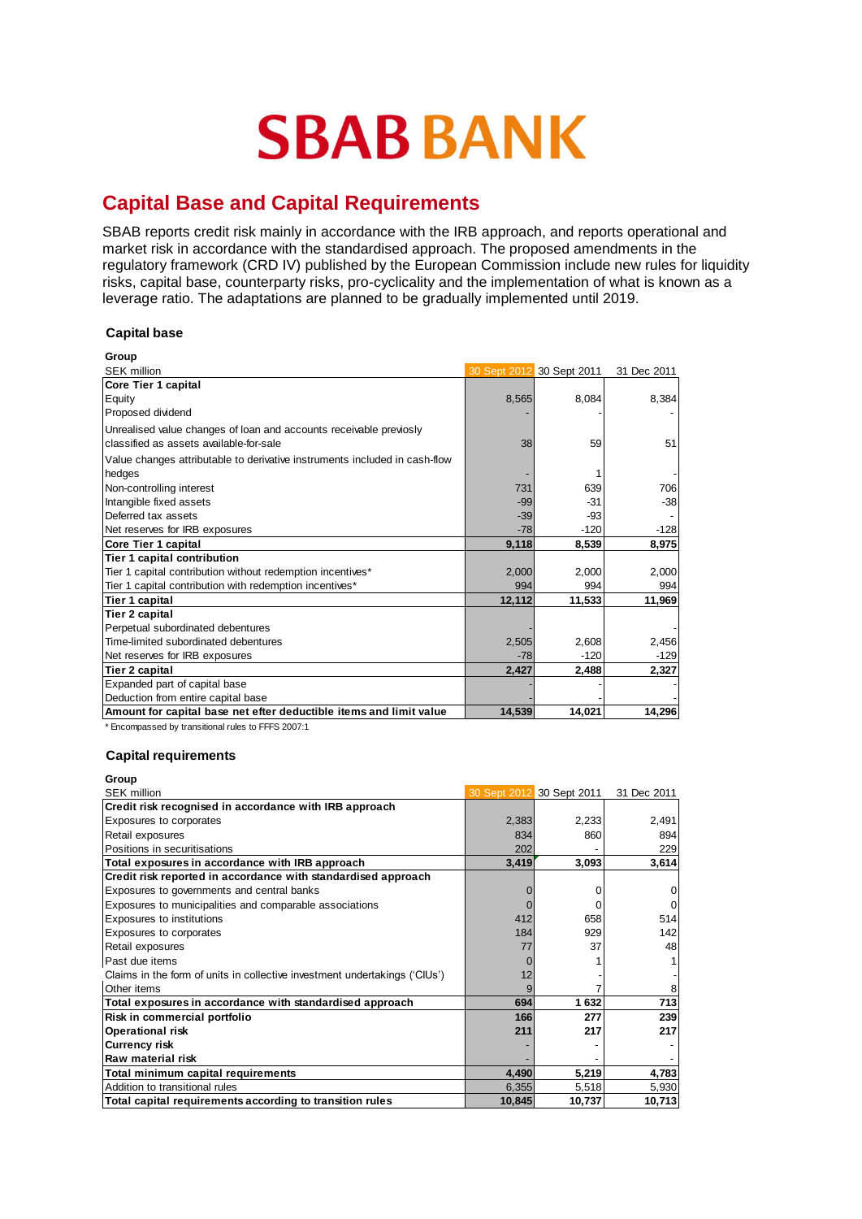# **SBAB BANK**

## **Capital Base and Capital Requirements**

SBAB reports credit risk mainly in accordance with the IRB approach, and reports operational and market risk in accordance with the standardised approach. The proposed amendments in the regulatory framework (CRD IV) published by the European Commission include new rules for liquidity risks, capital base, counterparty risks, pro-cyclicality and the implementation of what is known as a leverage ratio. The adaptations are planned to be gradually implemented until 2019.

### **Capital base**

| Group                                                                      |        |                           |             |
|----------------------------------------------------------------------------|--------|---------------------------|-------------|
| <b>SEK million</b>                                                         |        | 30 Sept 2012 30 Sept 2011 | 31 Dec 2011 |
| Core Tier 1 capital                                                        |        |                           |             |
| Equity                                                                     | 8,565  | 8,084                     | 8,384       |
| Proposed dividend                                                          |        |                           |             |
| Unrealised value changes of loan and accounts receivable previosly         |        |                           |             |
| classified as assets available-for-sale                                    | 38     | 59                        | 51          |
| Value changes attributable to derivative instruments included in cash-flow |        |                           |             |
| hedges                                                                     |        |                           |             |
| Non-controlling interest                                                   | 731    | 639                       | 706         |
| Intangible fixed assets                                                    | $-99$  | $-31$                     | $-38$       |
| Deferred tax assets                                                        | $-39$  | -93                       |             |
| Net reserves for IRB exposures                                             | $-78$  | $-120$                    | $-128$      |
| Core Tier 1 capital                                                        | 9,118  | 8,539                     | 8,975       |
| Tier 1 capital contribution                                                |        |                           |             |
| Tier 1 capital contribution without redemption incentives*                 | 2,000  | 2,000                     | 2,000       |
| Tier 1 capital contribution with redemption incentives*                    | 994    | 994                       | 994         |
| Tier 1 capital                                                             | 12,112 | 11,533                    | 11,969      |
| <b>Tier 2 capital</b>                                                      |        |                           |             |
| Perpetual subordinated debentures                                          |        |                           |             |
| Time-limited subordinated debentures                                       | 2,505  | 2,608                     | 2,456       |
| Net reserves for IRB exposures                                             | $-78$  | $-120$                    | $-129$      |
| <b>Tier 2 capital</b>                                                      | 2,427  | 2,488                     | 2,327       |
| Expanded part of capital base                                              |        |                           |             |
| Deduction from entire capital base                                         |        |                           |             |
| Amount for capital base net efter deductible items and limit value         | 14,539 | 14,021                    | 14,296      |

\* Encompassed by transitional rules to FFFS 2007:1

## **Capital requirements**

**Group**

|       |       | 31 Dec 2011                                                                                                  |
|-------|-------|--------------------------------------------------------------------------------------------------------------|
|       |       |                                                                                                              |
|       |       | 2,491                                                                                                        |
| 834   | 860   | 894                                                                                                          |
| 202   |       | 229                                                                                                          |
|       |       | 3,614                                                                                                        |
|       |       |                                                                                                              |
|       |       | 0                                                                                                            |
|       |       | $\mathbf 0$                                                                                                  |
| 412   | 658   | 514                                                                                                          |
| 184   | 929   | 142                                                                                                          |
| 77    | 37    | 48                                                                                                           |
|       |       |                                                                                                              |
|       |       |                                                                                                              |
|       |       | 8                                                                                                            |
| 694   | 1 632 | 713                                                                                                          |
| 166   | 277   | 239                                                                                                          |
| 211   | 217   | 217                                                                                                          |
|       |       |                                                                                                              |
|       |       |                                                                                                              |
| 4,490 |       | 4,783                                                                                                        |
|       |       | 5,930                                                                                                        |
|       |       | 10,713                                                                                                       |
|       |       | 30 Sept 2012 30 Sept 2011<br>2,383<br>2,233<br>3,093<br>3,419<br>5,219<br>6,355<br>5,518<br>10,737<br>10,845 |